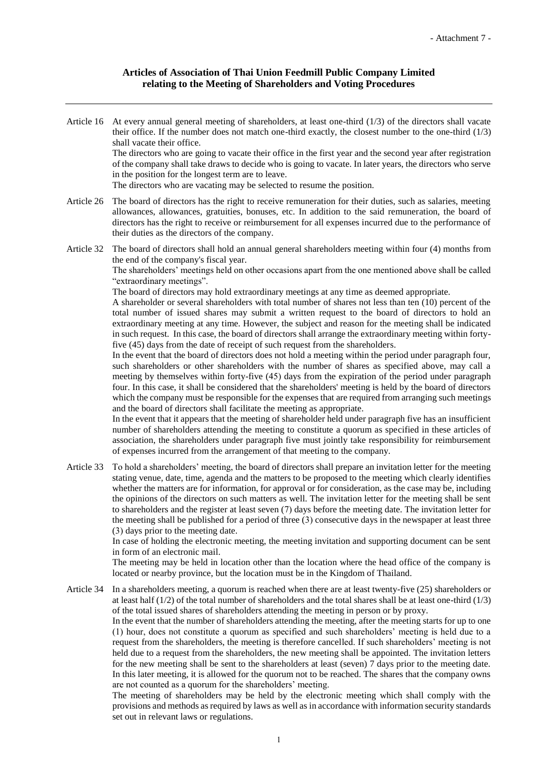## **Articles of Association of Thai Union Feedmill Public Company Limited relating to the Meeting of Shareholders and Voting Procedures**

Article 16 At every annual general meeting of shareholders, at least one-third  $(1/3)$  of the directors shall vacate their office. If the number does not match one-third exactly, the closest number to the one-third (1/3) shall vacate their office. The directors who are going to vacate their office in the first year and the second year after registration of the company shall take draws to decide who is going to vacate. In later years, the directors who serve in the position for the longest term are to leave. The directors who are vacating may be selected to resume the position.

Article 26 The board of directors has the right to receive remuneration for their duties, such as salaries, meeting allowances, allowances, gratuities, bonuses, etc. In addition to the said remuneration, the board of directors has the right to receive or reimbursement for all expenses incurred due to the performance of their duties as the directors of the company.

Article 32 The board of directors shall hold an annual general shareholders meeting within four (4) months from the end of the company's fiscal year.

The shareholders' meetings held on other occasions apart from the one mentioned above shall be called "extraordinary meetings".

The board of directors may hold extraordinary meetings at any time as deemed appropriate.

A shareholder or several shareholders with total number of shares not less than ten (10) percent of the total number of issued shares may submit a written request to the board of directors to hold an extraordinary meeting at any time. However, the subject and reason for the meeting shall be indicated in such request. In this case, the board of directors shall arrange the extraordinary meeting within fortyfive (45) days from the date of receipt of such request from the shareholders.

In the event that the board of directors does not hold a meeting within the period under paragraph four, such shareholders or other shareholders with the number of shares as specified above, may call a meeting by themselves within forty-five (45) days from the expiration of the period under paragraph four. In this case, it shall be considered that the shareholders' meeting is held by the board of directors which the company must be responsible for the expenses that are required from arranging such meetings and the board of directors shall facilitate the meeting as appropriate.

In the event that it appears that the meeting of shareholder held under paragraph five has an insufficient number of shareholders attending the meeting to constitute a quorum as specified in these articles of association, the shareholders under paragraph five must jointly take responsibility for reimbursement of expenses incurred from the arrangement of that meeting to the company.

Article 33 To hold a shareholders' meeting, the board of directors shall prepare an invitation letter for the meeting stating venue, date, time, agenda and the matters to be proposed to the meeting which clearly identifies whether the matters are for information, for approval or for consideration, as the case may be, including the opinions of the directors on such matters as well. The invitation letter for the meeting shall be sent to shareholders and the register at least seven (7) days before the meeting date. The invitation letter for the meeting shall be published for a period of three (3) consecutive days in the newspaper at least three (3) days prior to the meeting date.

> In case of holding the electronic meeting, the meeting invitation and supporting document can be sent in form of an electronic mail.

> The meeting may be held in location other than the location where the head office of the company is located or nearby province, but the location must be in the Kingdom of Thailand.

Article 34 In a shareholders meeting, a quorum is reached when there are at least twenty-five (25) shareholders or at least half (1/2) of the total number of shareholders and the total shares shall be at least one-third (1/3) of the total issued shares of shareholders attending the meeting in person or by proxy.

> In the event that the number of shareholders attending the meeting, after the meeting starts for up to one (1) hour, does not constitute a quorum as specified and such shareholders' meeting is held due to a request from the shareholders, the meeting is therefore cancelled. If such shareholders' meeting is not held due to a request from the shareholders, the new meeting shall be appointed. The invitation letters for the new meeting shall be sent to the shareholders at least (seven) 7 days prior to the meeting date. In this later meeting, it is allowed for the quorum not to be reached. The shares that the company owns are not counted as a quorum for the shareholders' meeting.

> The meeting of shareholders may be held by the electronic meeting which shall comply with the provisions and methods as required by laws as well as in accordance with information security standards set out in relevant laws or regulations.